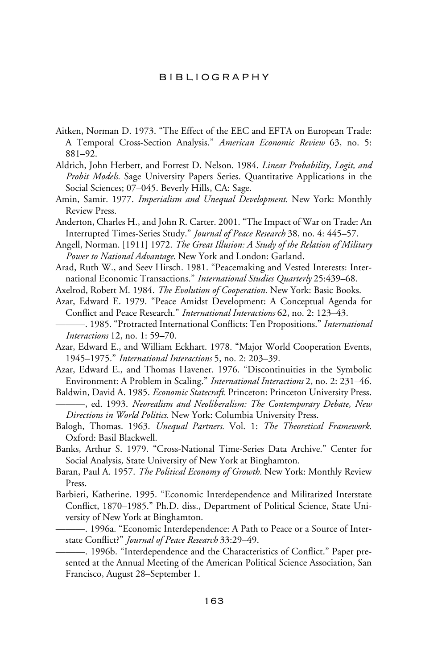## bibliography

- Aitken, Norman D. 1973. "The Effect of the EEC and EFTA on European Trade: A Temporal Cross-Section Analysis." *American Economic Review* 63, no. 5: 881–92.
- Aldrich, John Herbert, and Forrest D. Nelson. 1984. *Linear Probability, Logit, and Probit Models.* Sage University Papers Series. Quantitative Applications in the Social Sciences; 07–045. Beverly Hills, CA: Sage.
- Amin, Samir. 1977. *Imperialism and Unequal Development.* New York: Monthly Review Press.
- Anderton, Charles H., and John R. Carter. 2001. "The Impact of War on Trade: An Interrupted Times-Series Study." *Journal of Peace Research* 38, no. 4: 445–57.
- Angell, Norman. [1911] 1972. *The Great Illusion: A Study of the Relation of Military Power to National Advantage.* New York and London: Garland.
- Arad, Ruth W., and Seev Hirsch. 1981. "Peacemaking and Vested Interests: International Economic Transactions." *International Studies Quarterly* 25:439–68.
- Axelrod, Robert M. 1984. *The Evolution of Cooperation.* New York: Basic Books.
- Azar, Edward E. 1979. "Peace Amidst Development: A Conceptual Agenda for Conflict and Peace Research." *International Interactions* 62, no. 2: 123-43.
- ——. 1985. "Protracted International Conflicts: Ten Propositions." *International Interactions* 12, no. 1: 59–70.
- Azar, Edward E., and William Eckhart. 1978. "Major World Cooperation Events, 1945–1975." *International Interactions* 5, no. 2: 203–39.
- Azar, Edward E., and Thomas Havener. 1976. "Discontinuities in the Symbolic Environment: A Problem in Scaling." *International Interactions* 2, no. 2: 231–46.
- Baldwin, David A. 1985. *Economic Statecraft.* Princeton: Princeton University Press. ———, ed. 1993. *Neorealism and Neoliberalism: The Contemporary Debate, New*
- *Directions in World Politics.* New York: Columbia University Press.
- Balogh, Thomas. 1963. *Unequal Partners.* Vol. 1: *The Theoretical Framework.* Oxford: Basil Blackwell.
- Banks, Arthur S. 1979. "Cross-National Time-Series Data Archive." Center for Social Analysis, State University of New York at Binghamton.
- Baran, Paul A. 1957. *The Political Economy of Growth.* New York: Monthly Review Press.
- Barbieri, Katherine. 1995. "Economic Interdependence and Militarized Interstate Conflict, 1870–1985." Ph.D. diss., Department of Political Science, State University of New York at Binghamton.
	- ———. 1996a. "Economic Interdependence: A Path to Peace or a Source of Interstate Conflict?" *Journal of Peace Research* 33:29-49.
	- —. 1996b. "Interdependence and the Characteristics of Conflict." Paper presented at the Annual Meeting of the American Political Science Association, San Francisco, August 28–September 1.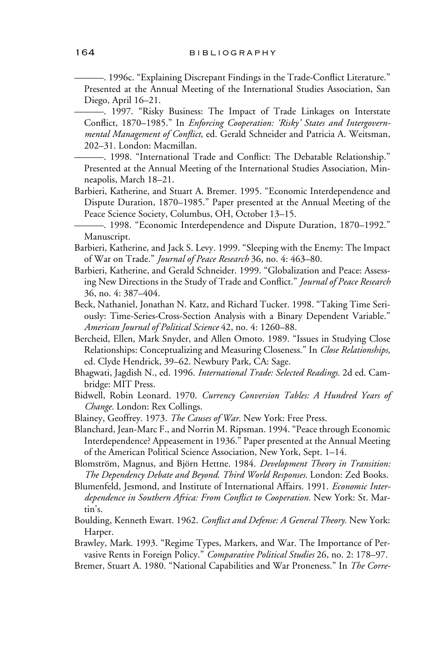—. 1996c. "Explaining Discrepant Findings in the Trade-Conflict Literature." Presented at the Annual Meeting of the International Studies Association, San Diego, April 16–21.

———. 1997. "Risky Business: The Impact of Trade Linkages on Interstate Conflict, 1870–1985." In *Enforcing Cooperation: 'Risky' States and Intergovernmental Management of Conflict,* ed. Gerald Schneider and Patricia A. Weitsman, 202–31. London: Macmillan.

- 1998. "International Trade and Conflict: The Debatable Relationship." Presented at the Annual Meeting of the International Studies Association, Minneapolis, March 18–21.

Barbieri, Katherine, and Stuart A. Bremer. 1995. "Economic Interdependence and Dispute Duration, 1870–1985." Paper presented at the Annual Meeting of the Peace Science Society, Columbus, OH, October 13–15.

- Barbieri, Katherine, and Jack S. Levy. 1999. "Sleeping with the Enemy: The Impact of War on Trade." *Journal of Peace Research* 36, no. 4: 463–80.
- Barbieri, Katherine, and Gerald Schneider. 1999. "Globalization and Peace: Assessing New Directions in the Study of Trade and Conflict." *Journal of Peace Research* 36, no. 4: 387–404.
- Beck, Nathaniel, Jonathan N. Katz, and Richard Tucker. 1998. "Taking Time Seriously: Time-Series-Cross-Section Analysis with a Binary Dependent Variable." *American Journal of Political Science* 42, no. 4: 1260–88.
- Bercheid, Ellen, Mark Snyder, and Allen Omoto. 1989. "Issues in Studying Close Relationships: Conceptualizing and Measuring Closeness." In *Close Relationships,* ed. Clyde Hendrick, 39–62. Newbury Park, CA: Sage.
- Bhagwati, Jagdish N., ed. 1996. *International Trade: Selected Readings.* 2d ed. Cambridge: MIT Press.
- Bidwell, Robin Leonard. 1970. *Currency Conversion Tables: A Hundred Years of Change.* London: Rex Collings.
- Blainey, Geoffrey. 1973. *The Causes of War.* New York: Free Press.
- Blanchard, Jean-Marc F., and Norrin M. Ripsman. 1994. "Peace through Economic Interdependence? Appeasement in 1936." Paper presented at the Annual Meeting of the American Political Science Association, New York, Sept. 1–14.

Blomström, Magnus, and Björn Hettne. 1984. *Development Theory in Transition: The Dependency Debate and Beyond. Third World Responses.* London: Zed Books.

Blumenfeld, Jesmond, and Institute of International Affairs. 1991. *Economic Interdependence in Southern Africa: From Conflict to Cooperation.* New York: St. Martin's.

- Boulding, Kenneth Ewart. 1962. *Conflict and Defense: A General Theory*. New York: Harper.
- Brawley, Mark. 1993. "Regime Types, Markers, and War. The Importance of Pervasive Rents in Foreign Policy." *Comparative Political Studies* 26, no. 2: 178–97.
- Bremer, Stuart A. 1980. "National Capabilities and War Proneness." In *The Corre-*

<sup>———. 1998. &</sup>quot;Economic Interdependence and Dispute Duration, 1870–1992." Manuscript.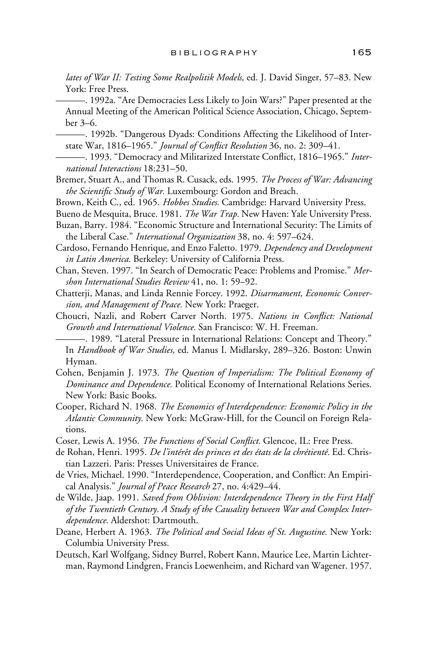*lates of War II: Testing Some Realpolitik Models,* ed. J. David Singer, 57–83. New York: Free Press.

———. 1992a. "Are Democracies Less Likely to Join Wars?" Paper presented at the Annual Meeting of the American Political Science Association, Chicago, September 3–6.

- ———. 1992b. "Dangerous Dyads: Conditions Affecting the Likelihood of Interstate War, 1816-1965." *Journal of Conflict Resolution* 36, no. 2: 309-41.
- -. 1993. "Democracy and Militarized Interstate Conflict, 1816-1965." Inter*national Interactions* 18:231–50.
- Bremer, Stuart A., and Thomas R. Cusack, eds. 1995. *The Process of War: Advancing* the Scientific Study of War. Luxembourg: Gordon and Breach.
- Brown, Keith C., ed. 1965. *Hobbes Studies.* Cambridge: Harvard University Press.
- Bueno de Mesquita, Bruce. 1981. *The War Trap.* New Haven: Yale University Press.
- Buzan, Barry. 1984. "Economic Structure and International Security: The Limits of the Liberal Case." *International Organization* 38, no. 4: 597–624.
- Cardoso, Fernando Henrique, and Enzo Faletto. 1979. *Dependency and Development in Latin America.* Berkeley: University of California Press.
- Chan, Steven. 1997. "In Search of Democratic Peace: Problems and Promise." *Mershon International Studies Review* 41, no. 1: 59–92.

Chatterji, Manas, and Linda Rennie Forcey. 1992. *Disarmament, Economic Conversion, and Management of Peace.* New York: Praeger.

Choucri, Nazli, and Robert Carver North. 1975. *Nations in Conflict: National Growth and International Violence.* San Francisco: W. H. Freeman.

———. 1989. "Lateral Pressure in International Relations: Concept and Theory." In *Handbook of War Studies,* ed. Manus I. Midlarsky, 289–326. Boston: Unwin Hyman.

- Cohen, Benjamin J. 1973. *The Question of Imperialism: The Political Economy of Dominance and Dependence.* Political Economy of International Relations Series. New York: Basic Books.
- Cooper, Richard N. 1968. *The Economics of Interdependence: Economic Policy in the Atlantic Community.* New York: McGraw-Hill, for the Council on Foreign Relations.
- Coser, Lewis A. 1956. *The Functions of Social Conflict*. Glencoe, IL: Free Press.
- de Rohan, Henri. 1995. *De l'intérêt des princes et des états de la chrétienté.* Ed. Christian Lazzeri. Paris: Presses Universitaires de France.
- de Vries, Michael. 1990. "Interdependence, Cooperation, and Conflict: An Empirical Analysis." *Journal of Peace Research* 27, no. 4:429–44.
- de Wilde, Jaap. 1991. *Saved from Oblivion: Interdependence Theory in the First Half of the Twentieth Century. A Study of the Causality between War and Complex Interdependence.* Aldershot: Dartmouth.
- Deane, Herbert A. 1963. *The Political and Social Ideas of St. Augustine.* New York: Columbia University Press.
- Deutsch, Karl Wolfgang, Sidney Burrel, Robert Kann, Maurice Lee, Martin Lichterman, Raymond Lindgren, Francis Loewenheim, and Richard van Wagener. 1957.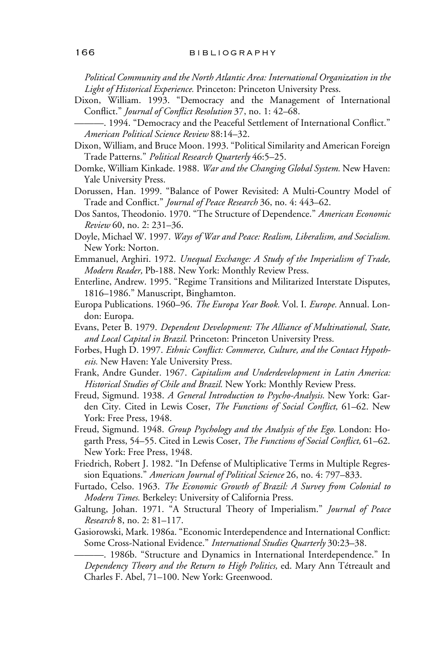*Political Community and the North Atlantic Area: International Organization in the Light of Historical Experience.* Princeton: Princeton University Press.

Dixon, William. 1993. "Democracy and the Management of International Conflict." *Journal of Conflict Resolution* 37, no. 1: 42–68.

—. 1994. "Democracy and the Peaceful Settlement of International Conflict." *American Political Science Review* 88:14–32.

- Dixon, William, and Bruce Moon. 1993. "Political Similarity and American Foreign Trade Patterns." *Political Research Quarterly* 46:5–25.
- Domke, William Kinkade. 1988. *War and the Changing Global System.* New Haven: Yale University Press.
- Dorussen, Han. 1999. "Balance of Power Revisited: A Multi-Country Model of Trade and Conflict." *Journal of Peace Research* 36, no. 4: 443-62.
- Dos Santos, Theodonio. 1970. "The Structure of Dependence." *American Economic Review* 60, no. 2: 231–36.
- Doyle, Michael W. 1997. *Ways of War and Peace: Realism, Liberalism, and Socialism.* New York: Norton.
- Emmanuel, Arghiri. 1972. *Unequal Exchange: A Study of the Imperialism of Trade, Modern Reader,* Pb-188. New York: Monthly Review Press.
- Enterline, Andrew. 1995. "Regime Transitions and Militarized Interstate Disputes, 1816–1986." Manuscript, Binghamton.
- Europa Publications. 1960–96. *The Europa Year Book.* Vol. I. *Europe.* Annual. London: Europa.
- Evans, Peter B. 1979. *Dependent Development: The Alliance of Multinational, State, and Local Capital in Brazil.* Princeton: Princeton University Press.
- Forbes, Hugh D. 1997. *Ethnic Conflict: Commerce, Culture, and the Contact Hypothesis.* New Haven: Yale University Press.
- Frank, Andre Gunder. 1967. *Capitalism and Underdevelopment in Latin America: Historical Studies of Chile and Brazil.* New York: Monthly Review Press.
- Freud, Sigmund. 1938. *A General Introduction to Psycho-Analysis.* New York: Garden City. Cited in Lewis Coser, *The Functions of Social Conflict*, 61-62. New York: Free Press, 1948.
- Freud, Sigmund. 1948. *Group Psychology and the Analysis of the Ego.* London: Hogarth Press, 54–55. Cited in Lewis Coser, *The Functions of Social Conflict*, 61–62. New York: Free Press, 1948.
- Friedrich, Robert J. 1982. "In Defense of Multiplicative Terms in Multiple Regression Equations." *American Journal of Political Science* 26, no. 4: 797–833.
- Furtado, Celso. 1963. *The Economic Growth of Brazil: A Survey from Colonial to Modern Times.* Berkeley: University of California Press.
- Galtung, Johan. 1971. "A Structural Theory of Imperialism." *Journal of Peace Research* 8, no. 2: 81–117.
- Gasiorowski, Mark. 1986a. "Economic Interdependence and International Conflict: Some Cross-National Evidence." *International Studies Quarterly* 30:23–38.

———. 1986b. "Structure and Dynamics in International Interdependence." In *Dependency Theory and the Return to High Politics,* ed. Mary Ann Tétreault and Charles F. Abel, 71–100. New York: Greenwood.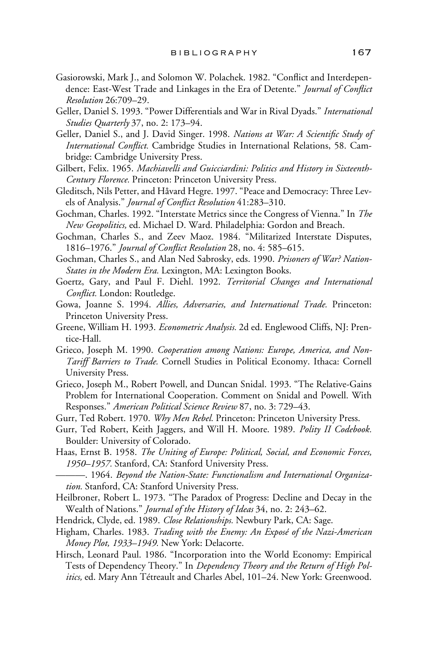- Gasiorowski, Mark J., and Solomon W. Polachek. 1982. "Conflict and Interdependence: East-West Trade and Linkages in the Era of Detente." *Journal of Conflict Resolution* 26:709–29.
- Geller, Daniel S. 1993. "Power Differentials and War in Rival Dyads." *International Studies Quarterly* 37, no. 2: 173–94.
- Geller, Daniel S., and J. David Singer. 1998. *Nations at War: A Scientific Study of International Conflict*. Cambridge Studies in International Relations, 58. Cambridge: Cambridge University Press.
- Gilbert, Felix. 1965. *Machiavelli and Guicciardini: Politics and History in Sixteenth-Century Florence.* Princeton: Princeton University Press.
- Gleditsch, Nils Petter, and Håvard Hegre. 1997. "Peace and Democracy: Three Levels of Analysis." *Journal of Conflict Resolution* 41:283–310.
- Gochman, Charles. 1992. "Interstate Metrics since the Congress of Vienna." In *The New Geopolitics,* ed. Michael D. Ward. Philadelphia: Gordon and Breach.
- Gochman, Charles S., and Zeev Maoz. 1984. "Militarized Interstate Disputes, 1816–1976." *Journal of Conflict Resolution* 28, no. 4: 585–615.
- Gochman, Charles S., and Alan Ned Sabrosky, eds. 1990. *Prisoners of War? Nation-States in the Modern Era.* Lexington, MA: Lexington Books.
- Goertz, Gary, and Paul F. Diehl. 1992. *Territorial Changes and International Conflict.* London: Routledge.
- Gowa, Joanne S. 1994. *Allies, Adversaries, and International Trade.* Princeton: Princeton University Press.
- Greene, William H. 1993. *Econometric Analysis.* 2d ed. Englewood Cliffs, NJ: Prentice-Hall.
- Grieco, Joseph M. 1990. *Cooperation among Nations: Europe, America, and Non-Tariff Barriers to Trade.* Cornell Studies in Political Economy. Ithaca: Cornell University Press.
- Grieco, Joseph M., Robert Powell, and Duncan Snidal. 1993. "The Relative-Gains Problem for International Cooperation. Comment on Snidal and Powell. With Responses." *American Political Science Review* 87, no. 3: 729–43.
- Gurr, Ted Robert. 1970. *Why Men Rebel.* Princeton: Princeton University Press.
- Gurr, Ted Robert, Keith Jaggers, and Will H. Moore. 1989. *Polity II Codebook.* Boulder: University of Colorado.
- Haas, Ernst B. 1958. *The Uniting of Europe: Political, Social, and Economic Forces, 1950–1957.* Stanford, CA: Stanford University Press.
- ———. 1964. *Beyond the Nation-State: Functionalism and International Organization.* Stanford, CA: Stanford University Press.
- Heilbroner, Robert L. 1973. "The Paradox of Progress: Decline and Decay in the Wealth of Nations." *Journal of the History of Ideas* 34, no. 2: 243–62.
- Hendrick, Clyde, ed. 1989. *Close Relationships.* Newbury Park, CA: Sage.
- Higham, Charles. 1983. *Trading with the Enemy: An Exposé of the Nazi-American Money Plot, 1933–1949.* New York: Delacorte.
- Hirsch, Leonard Paul. 1986. "Incorporation into the World Economy: Empirical Tests of Dependency Theory." In *Dependency Theory and the Return of High Politics,* ed. Mary Ann Tétreault and Charles Abel, 101–24. New York: Greenwood.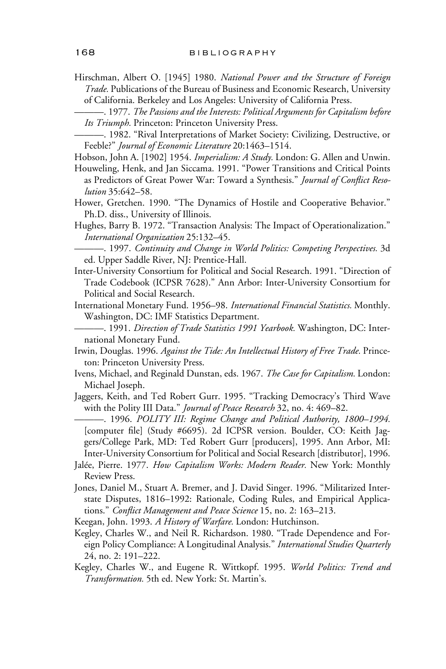- Hirschman, Albert O. [1945] 1980. *National Power and the Structure of Foreign Trade.* Publications of the Bureau of Business and Economic Research, University of California. Berkeley and Los Angeles: University of California Press.
- ———. 1977. *The Passions and the Interests: Political Arguments for Capitalism before Its Triumph.* Princeton: Princeton University Press.
- ———. 1982. "Rival Interpretations of Market Society: Civilizing, Destructive, or Feeble?" *Journal of Economic Literature* 20:1463–1514.
- Hobson, John A. [1902] 1954. *Imperialism: A Study.* London: G. Allen and Unwin.
- Houweling, Henk, and Jan Siccama. 1991. "Power Transitions and Critical Points as Predictors of Great Power War: Toward a Synthesis." Journal of Conflict Reso*lution* 35:642–58.
- Hower, Gretchen. 1990. "The Dynamics of Hostile and Cooperative Behavior." Ph.D. diss., University of Illinois.
- Hughes, Barry B. 1972. "Transaction Analysis: The Impact of Operationalization." *International Organization* 25:132–45.
	- ———. 1997. *Continuity and Change in World Politics: Competing Perspectives.* 3d ed. Upper Saddle River, NJ: Prentice-Hall.
- Inter-University Consortium for Political and Social Research. 1991. "Direction of Trade Codebook (ICPSR 7628)." Ann Arbor: Inter-University Consortium for Political and Social Research.
- International Monetary Fund. 1956–98. *International Financial Statistics.* Monthly. Washington, DC: IMF Statistics Department.
	- ———. 1991. *Direction of Trade Statistics 1991 Yearbook.* Washington, DC: International Monetary Fund.
- Irwin, Douglas. 1996. *Against the Tide: An Intellectual History of Free Trade.* Princeton: Princeton University Press.
- Ivens, Michael, and Reginald Dunstan, eds. 1967. *The Case for Capitalism.* London: Michael Joseph.
- Jaggers, Keith, and Ted Robert Gurr. 1995. "Tracking Democracy's Third Wave with the Polity III Data." *Journal of Peace Research* 32, no. 4: 469–82.
	- ———. 1996. *POLITY III: Regime Change and Political Authority, 1800–1994.* [computer file] (Study #6695). 2d ICPSR version. Boulder, CO: Keith Jaggers/College Park, MD: Ted Robert Gurr [producers], 1995. Ann Arbor, MI: Inter-University Consortium for Political and Social Research [distributor], 1996.
- Jalée, Pierre. 1977. *How Capitalism Works: Modern Reader.* New York: Monthly Review Press.
- Jones, Daniel M., Stuart A. Bremer, and J. David Singer. 1996. "Militarized Interstate Disputes, 1816–1992: Rationale, Coding Rules, and Empirical Applications." *Conflict Management and Peace Science* 15, no. 2: 163-213.
- Keegan, John. 1993. *A History of Warfare.* London: Hutchinson.
- Kegley, Charles W., and Neil R. Richardson. 1980. "Trade Dependence and Foreign Policy Compliance: A Longitudinal Analysis." *International Studies Quarterly* 24, no. 2: 191–222.
- Kegley, Charles W., and Eugene R. Wittkopf. 1995. *World Politics: Trend and Transformation.* 5th ed. New York: St. Martin's.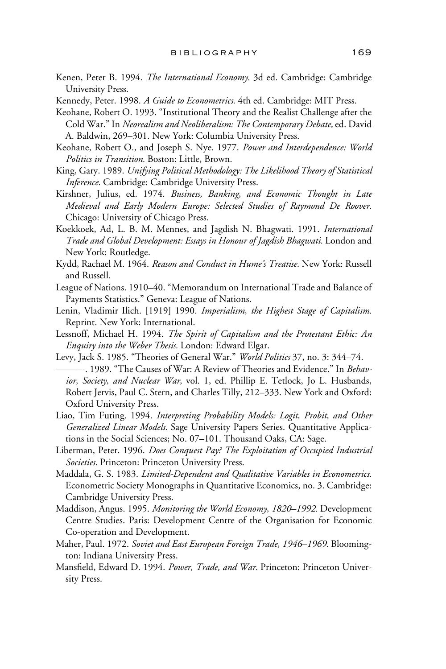- Kenen, Peter B. 1994. *The International Economy.* 3d ed. Cambridge: Cambridge University Press.
- Kennedy, Peter. 1998. *A Guide to Econometrics.* 4th ed. Cambridge: MIT Press.
- Keohane, Robert O. 1993. "Institutional Theory and the Realist Challenge after the Cold War." In *Neorealism and Neoliberalism: The Contemporary Debate,* ed. David A. Baldwin, 269–301. New York: Columbia University Press.
- Keohane, Robert O., and Joseph S. Nye. 1977. *Power and Interdependence: World Politics in Transition.* Boston: Little, Brown.
- King, Gary. 1989. *Unifying Political Methodology: The Likelihood Theory of Statistical Inference.* Cambridge: Cambridge University Press.
- Kirshner, Julius, ed. 1974. *Business, Banking, and Economic Thought in Late Medieval and Early Modern Europe: Selected Studies of Raymond De Roover.* Chicago: University of Chicago Press.
- Koekkoek, Ad, L. B. M. Mennes, and Jagdish N. Bhagwati. 1991. *International Trade and Global Development: Essays in Honour of Jagdish Bhagwati.* London and New York: Routledge.
- Kydd, Rachael M. 1964. *Reason and Conduct in Hume's Treatise.* New York: Russell and Russell.
- League of Nations. 1910–40. "Memorandum on International Trade and Balance of Payments Statistics." Geneva: League of Nations.
- Lenin, Vladimir Ilich. [1919] 1990. *Imperialism, the Highest Stage of Capitalism.* Reprint. New York: International.
- Lessnoff, Michael H. 1994. *The Spirit of Capitalism and the Protestant Ethic: An Enquiry into the Weber Thesis.* London: Edward Elgar.
- Levy, Jack S. 1985. "Theories of General War." *World Politics* 37, no. 3: 344–74. ———. 1989. "The Causes of War: A Review of Theories and Evidence." In *Behavior, Society, and Nuclear War,* vol. 1, ed. Phillip E. Tetlock, Jo L. Husbands, Robert Jervis, Paul C. Stern, and Charles Tilly, 212–333. New York and Oxford: Oxford University Press.
- Liao, Tim Futing. 1994. *Interpreting Probability Models: Logit, Probit, and Other Generalized Linear Models.* Sage University Papers Series. Quantitative Applications in the Social Sciences; No. 07–101. Thousand Oaks, CA: Sage.
- Liberman, Peter. 1996. *Does Conquest Pay? The Exploitation of Occupied Industrial Societies.* Princeton: Princeton University Press.
- Maddala, G. S. 1983. *Limited-Dependent and Qualitative Variables in Econometrics.* Econometric Society Monographs in Quantitative Economics, no. 3. Cambridge: Cambridge University Press.
- Maddison, Angus. 1995. *Monitoring the World Economy, 1820–1992.* Development Centre Studies. Paris: Development Centre of the Organisation for Economic Co-operation and Development.
- Maher, Paul. 1972. *Soviet and East European Foreign Trade, 1946–1969.* Bloomington: Indiana University Press.
- Mansfield, Edward D. 1994. Power, Trade, and War. Princeton: Princeton University Press.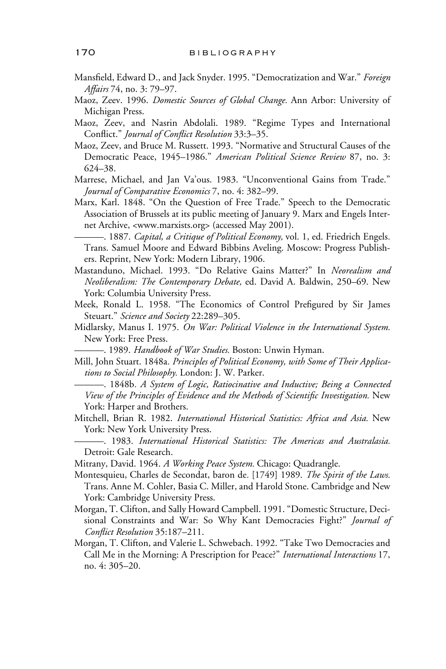- Mansfield, Edward D., and Jack Snyder. 1995. "Democratization and War." Foreign *Affairs* 74, no. 3: 79–97.
- Maoz, Zeev. 1996. *Domestic Sources of Global Change.* Ann Arbor: University of Michigan Press.
- Maoz, Zeev, and Nasrin Abdolali. 1989. "Regime Types and International Conflict." *Journal of Conflict Resolution* 33:3-35.
- Maoz, Zeev, and Bruce M. Russett. 1993. "Normative and Structural Causes of the Democratic Peace, 1945–1986." *American Political Science Review* 87, no. 3: 624–38.
- Marrese, Michael, and Jan Va'ous. 1983. "Unconventional Gains from Trade." *Journal of Comparative Economics* 7, no. 4: 382–99.
- Marx, Karl. 1848. "On the Question of Free Trade." Speech to the Democratic Association of Brussels at its public meeting of January 9. Marx and Engels Internet Archive, <www.marxists.org> (accessed May 2001).
- ———. 1887. *Capital, a Critique of Political Economy,* vol. 1, ed. Friedrich Engels*.* Trans. Samuel Moore and Edward Bibbins Aveling. Moscow: Progress Publishers. Reprint, New York: Modern Library, 1906.
- Mastanduno, Michael. 1993. "Do Relative Gains Matter?" In *Neorealism and Neoliberalism: The Contemporary Debate,* ed. David A. Baldwin, 250–69. New York: Columbia University Press.
- Meek, Ronald L. 1958. "The Economics of Control Prefigured by Sir James Steuart." *Science and Society* 22:289–305.
- Midlarsky, Manus I. 1975. *On War: Political Violence in the International System.* New York: Free Press.
- ———. 1989. *Handbook of War Studies.* Boston: Unwin Hyman.
- Mill, John Stuart. 1848a*. Principles of Political Economy, with Some of Their Applications to Social Philosophy.* London: J. W. Parker.
	- ———. 1848b*. A System of Logic, Ratiocinative and Inductive; Being a Connected View of the Principles of Evidence and the Methods of Scientific Investigation.* New York: Harper and Brothers.
- Mitchell, Brian R. 1982. *International Historical Statistics: Africa and Asia.* New York: New York University Press.
- ———. 1983. *International Historical Statistics: The Americas and Australasia.* Detroit: Gale Research.
- Mitrany, David. 1964. *A Working Peace System.* Chicago: Quadrangle.
- Montesquieu, Charles de Secondat, baron de*.* [1749] 1989. *The Spirit of the Laws.* Trans. Anne M. Cohler, Basia C. Miller, and Harold Stone. Cambridge and New York: Cambridge University Press.
- Morgan, T. Clifton, and Sally Howard Campbell. 1991. "Domestic Structure, Decisional Constraints and War: So Why Kant Democracies Fight?" *Journal of Conflict Resolution* 35:187-211.
- Morgan, T. Clifton, and Valerie L. Schwebach. 1992. "Take Two Democracies and Call Me in the Morning: A Prescription for Peace?" *International Interactions* 17, no. 4: 305–20.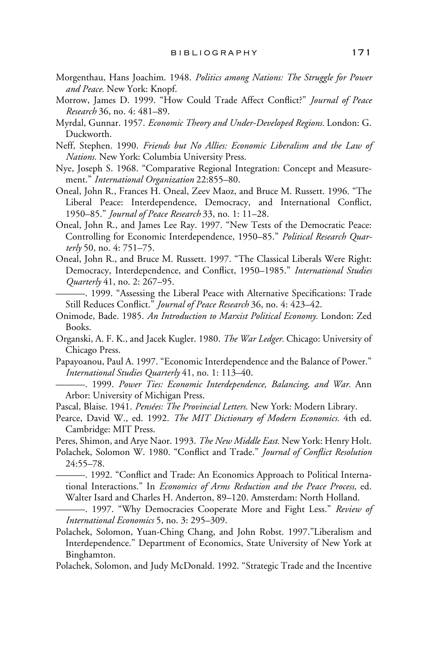- Morgenthau, Hans Joachim. 1948. *Politics among Nations: The Struggle for Power and Peace.* New York: Knopf.
- Morrow, James D. 1999. "How Could Trade Affect Conflict?" *Journal of Peace Research* 36, no. 4: 481–89.
- Myrdal, Gunnar. 1957. *Economic Theory and Under-Developed Regions.* London: G. Duckworth.
- Neff, Stephen. 1990. *Friends but No Allies: Economic Liberalism and the Law of Nations.* New York: Columbia University Press.
- Nye, Joseph S. 1968. "Comparative Regional Integration: Concept and Measurement." *International Organization* 22:855–80.
- Oneal, John R., Frances H. Oneal, Zeev Maoz, and Bruce M. Russett. 1996. "The Liberal Peace: Interdependence, Democracy, and International Conflict, 1950–85." *Journal of Peace Research* 33, no. 1: 11–28.
- Oneal, John R., and James Lee Ray. 1997. "New Tests of the Democratic Peace: Controlling for Economic Interdependence, 1950–85." *Political Research Quarterly* 50, no. 4: 751–75.
- Oneal, John R., and Bruce M. Russett. 1997. "The Classical Liberals Were Right: Democracy, Interdependence, and Conflict, 1950–1985." International Studies *Quarterly* 41, no. 2: 267–95.
- —. 1999. "Assessing the Liberal Peace with Alternative Specifications: Trade Still Reduces Conflict." *Journal of Peace Research* 36, no. 4: 423-42.
- Onimode, Bade. 1985. *An Introduction to Marxist Political Economy.* London: Zed Books.
- Organski, A. F. K., and Jacek Kugler. 1980. *The War Ledger.* Chicago: University of Chicago Press.
- Papayoanou, Paul A. 1997. "Economic Interdependence and the Balance of Power." *International Studies Quarterly* 41, no. 1: 113–40.
	- ———. 1999. *Power Ties: Economic Interdependence, Balancing, and War.* Ann Arbor: University of Michigan Press.
- Pascal, Blaise. 1941. *Pensées: The Provincial Letters.* New York: Modern Library.
- Pearce, David W., ed. 1992. *The MIT Dictionary of Modern Economics.* 4th ed. Cambridge: MIT Press.
- Peres, Shimon, and Arye Naor. 1993. *The New Middle East.* New York: Henry Holt.
- Polachek, Solomon W. 1980. "Conflict and Trade." *Journal of Conflict Resolution* 24:55–78.
	- 1992. "Conflict and Trade: An Economics Approach to Political International Interactions." In *Economics of Arms Reduction and the Peace Process,* ed. Walter Isard and Charles H. Anderton, 89–120. Amsterdam: North Holland.
- ———. 1997. "Why Democracies Cooperate More and Fight Less." *Review of International Economics* 5, no. 3: 295–309.
- Polachek, Solomon, Yuan-Ching Chang, and John Robst. 1997."Liberalism and Interdependence." Department of Economics, State University of New York at Binghamton.
- Polachek, Solomon, and Judy McDonald. 1992. "Strategic Trade and the Incentive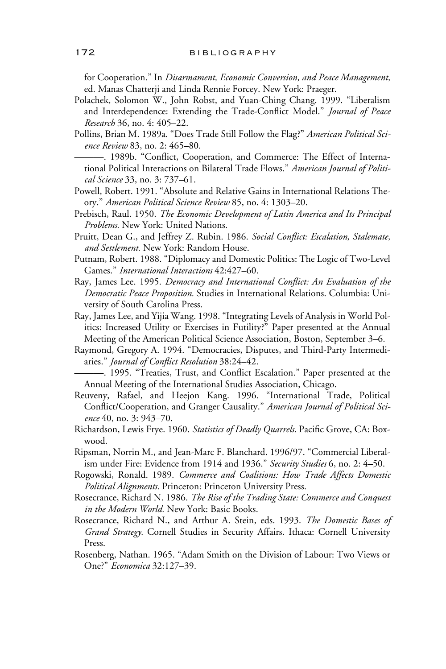for Cooperation." In *Disarmament, Economic Conversion, and Peace Management,* ed. Manas Chatterji and Linda Rennie Forcey. New York: Praeger.

- Polachek, Solomon W., John Robst, and Yuan-Ching Chang. 1999. "Liberalism and Interdependence: Extending the Trade-Conflict Model." *Journal of Peace Research* 36, no. 4: 405–22.
- Pollins, Brian M. 1989a. "Does Trade Still Follow the Flag?" *American Political Science Review* 83, no. 2: 465–80.
	- —. 1989b. "Conflict, Cooperation, and Commerce: The Effect of International Political Interactions on Bilateral Trade Flows." *American Journal of Political Science* 33, no. 3: 737–61.
- Powell, Robert. 1991. "Absolute and Relative Gains in International Relations Theory." *American Political Science Review* 85, no. 4: 1303–20.
- Prebisch, Raul. 1950. *The Economic Development of Latin America and Its Principal Problems.* New York: United Nations.
- Pruitt, Dean G., and Jeffrey Z. Rubin. 1986. Social Conflict: Escalation, Stalemate, *and Settlement.* New York: Random House.
- Putnam, Robert. 1988. "Diplomacy and Domestic Politics: The Logic of Two-Level Games." *International Interactions* 42:427–60.
- Ray, James Lee. 1995. *Democracy and International Conflict: An Evaluation of the Democratic Peace Proposition.* Studies in International Relations. Columbia: University of South Carolina Press.
- Ray, James Lee, and Yijia Wang. 1998. "Integrating Levels of Analysis in World Politics: Increased Utility or Exercises in Futility?" Paper presented at the Annual Meeting of the American Political Science Association, Boston, September 3–6.
- Raymond, Gregory A. 1994. "Democracies, Disputes, and Third-Party Intermediaries." *Journal of Conflict Resolution* 38:24-42.

 $-$ . 1995. "Treaties, Trust, and Conflict Escalation." Paper presented at the Annual Meeting of the International Studies Association, Chicago.

- Reuveny, Rafael, and Heejon Kang. 1996. "International Trade, Political Conflict/Cooperation, and Granger Causality." American Journal of Political Sci*ence* 40, no. 3: 943–70.
- Richardson, Lewis Frye. 1960. *Statistics of Deadly Quarrels*. Pacific Grove, CA: Boxwood.
- Ripsman, Norrin M., and Jean-Marc F. Blanchard. 1996/97. "Commercial Liberalism under Fire: Evidence from 1914 and 1936." *Security Studies* 6, no. 2: 4–50.
- Rogowski, Ronald. 1989. *Commerce and Coalitions: How Trade Affects Domestic Political Alignments.* Princeton: Princeton University Press.
- Rosecrance, Richard N. 1986. *The Rise of the Trading State: Commerce and Conquest in the Modern World.* New York: Basic Books.
- Rosecrance, Richard N., and Arthur A. Stein, eds. 1993. *The Domestic Bases of Grand Strategy.* Cornell Studies in Security Affairs. Ithaca: Cornell University Press.
- Rosenberg, Nathan. 1965. "Adam Smith on the Division of Labour: Two Views or One?" *Economica* 32:127–39.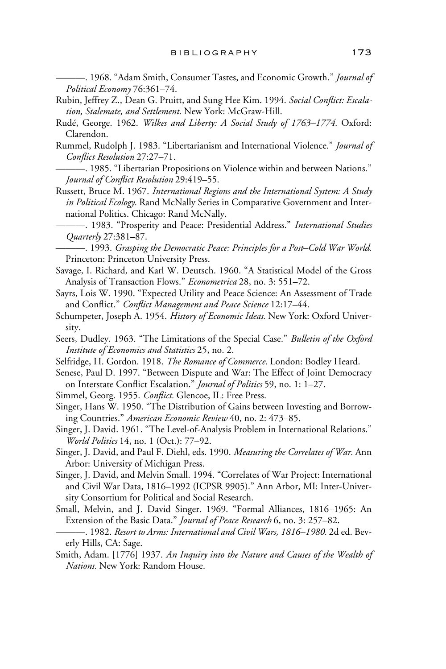———. 1968. "Adam Smith, Consumer Tastes, and Economic Growth." *Journal of Political Economy* 76:361–74.

- Rubin, Jeffrey Z., Dean G. Pruitt, and Sung Hee Kim. 1994. *Social Conflict: Escalation, Stalemate, and Settlement.* New York: McGraw-Hill.
- Rudé, George. 1962. *Wilkes and Liberty: A Social Study of 1763–1774.* Oxford: Clarendon.
- Rummel, Rudolph J. 1983. "Libertarianism and International Violence." *Journal of Conflict Resolution 27:27-71.*
- ———. 1985. "Libertarian Propositions on Violence within and between Nations." *Journal of Conflict Resolution 29:419-55.*
- Russett, Bruce M. 1967. *International Regions and the International System: A Study in Political Ecology.* Rand McNally Series in Comparative Government and International Politics. Chicago: Rand McNally.
- ———. 1983. "Prosperity and Peace: Presidential Address." *International Studies Quarterly* 27:381–87.

———. 1993. *Grasping the Democratic Peace: Principles for a Post–Cold War World.* Princeton: Princeton University Press.

- Savage, I. Richard, and Karl W. Deutsch. 1960. "A Statistical Model of the Gross Analysis of Transaction Flows." *Econometrica* 28, no. 3: 551–72.
- Sayrs, Lois W. 1990. "Expected Utility and Peace Science: An Assessment of Trade and Conflict." *Conflict Management and Peace Science* 12:17-44.
- Schumpeter, Joseph A. 1954. *History of Economic Ideas.* New York: Oxford University.
- Seers, Dudley. 1963. "The Limitations of the Special Case." *Bulletin of the Oxford Institute of Economics and Statistics* 25, no. 2.
- Selfridge, H. Gordon. 1918. *The Romance of Commerce.* London: Bodley Heard.
- Senese, Paul D. 1997. "Between Dispute and War: The Effect of Joint Democracy on Interstate Conflict Escalation." *Journal of Politics* 59, no. 1: 1–27.
- Simmel, Georg. 1955. *Conflict*. Glencoe, IL: Free Press.
- Singer, Hans W. 1950. "The Distribution of Gains between Investing and Borrowing Countries." *American Economic Review* 40, no. 2: 473–85.
- Singer, J. David. 1961. "The Level-of-Analysis Problem in International Relations." *World Politics* 14, no. 1 (Oct.): 77–92.
- Singer, J. David, and Paul F. Diehl, eds. 1990. *Measuring the Correlates of War.* Ann Arbor: University of Michigan Press.
- Singer, J. David, and Melvin Small. 1994. "Correlates of War Project: International and Civil War Data, 1816–1992 (ICPSR 9905)." Ann Arbor, MI: Inter-University Consortium for Political and Social Research.
- Small, Melvin, and J. David Singer. 1969. "Formal Alliances, 1816–1965: An Extension of the Basic Data." *Journal of Peace Research* 6, no. 3: 257–82.
- ———. 1982. *Resort to Arms: International and Civil Wars, 1816–1980.* 2d ed. Beverly Hills, CA: Sage.
- Smith, Adam. [1776] 1937. *An Inquiry into the Nature and Causes of the Wealth of Nations.* New York: Random House.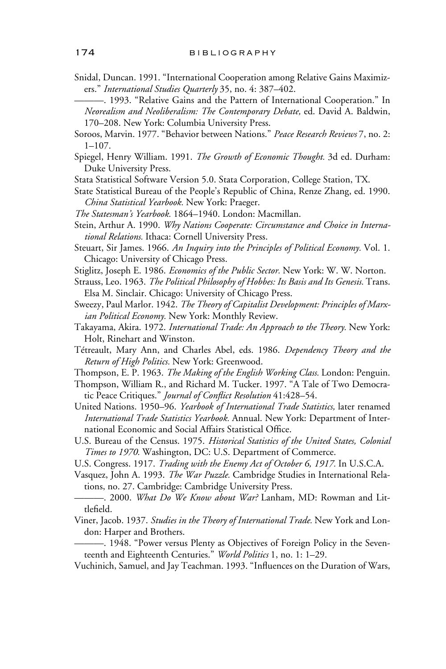- Snidal, Duncan. 1991. "International Cooperation among Relative Gains Maximizers." *International Studies Quarterly* 35, no. 4: 387–402.
	- ———. 1993. "Relative Gains and the Pattern of International Cooperation." In *Neorealism and Neoliberalism: The Contemporary Debate,* ed. David A. Baldwin, 170–208. New York: Columbia University Press.
- Soroos, Marvin. 1977. "Behavior between Nations." *Peace Research Reviews* 7, no. 2: 1–107.
- Spiegel, Henry William. 1991. *The Growth of Economic Thought.* 3d ed. Durham: Duke University Press.
- Stata Statistical Software Version 5.0. Stata Corporation, College Station, TX.
- State Statistical Bureau of the People's Republic of China, Renze Zhang, ed. 1990. *China Statistical Yearbook.* New York: Praeger.
- *The Statesman's Yearbook.* 1864–1940. London: Macmillan.
- Stein, Arthur A. 1990. *Why Nations Cooperate: Circumstance and Choice in International Relations.* Ithaca: Cornell University Press.
- Steuart, Sir James. 1966. *An Inquiry into the Principles of Political Economy.* Vol. 1. Chicago: University of Chicago Press.
- Stiglitz, Joseph E. 1986. *Economics of the Public Sector.* New York: W. W. Norton.
- Strauss, Leo. 1963. *The Political Philosophy of Hobbes: Its Basis and Its Genesis.* Trans. Elsa M. Sinclair. Chicago: University of Chicago Press.
- Sweezy, Paul Marlor. 1942. *The Theory of Capitalist Development: Principles of Marxian Political Economy.* New York: Monthly Review.
- Takayama, Akira. 1972. *International Trade: An Approach to the Theory.* New York: Holt, Rinehart and Winston.
- Tétreault, Mary Ann, and Charles Abel, eds. 1986. *Dependency Theory and the Return of High Politics.* New York: Greenwood.
- Thompson, E. P. 1963. *The Making of the English Working Class.* London: Penguin.
- Thompson, William R., and Richard M. Tucker. 1997. "A Tale of Two Democratic Peace Critiques." *Journal of Conflict Resolution* 41:428-54.
- United Nations. 1950–96. *Yearbook of International Trade Statistics,* later renamed *International Trade Statistics Yearbook.* Annual. New York: Department of International Economic and Social Affairs Statistical Office.
- U.S. Bureau of the Census. 1975. *Historical Statistics of the United States, Colonial Times to 1970.* Washington, DC: U.S. Department of Commerce.
- U.S. Congress. 1917. *Trading with the Enemy Act of October 6, 1917.* In U.S.C.A.
- Vasquez, John A. 1993. *The War Puzzle.* Cambridge Studies in International Relations, no. 27. Cambridge: Cambridge University Press.
- ———. 2000. *What Do We Know about War?* Lanham, MD: Rowman and Littlefield.
- Viner, Jacob. 1937. *Studies in the Theory of International Trade.* New York and London: Harper and Brothers.
- ———. 1948. "Power versus Plenty as Objectives of Foreign Policy in the Seventeenth and Eighteenth Centuries." *World Politics* 1, no. 1: 1–29.
- Vuchinich, Samuel, and Jay Teachman. 1993. "Influences on the Duration of Wars,